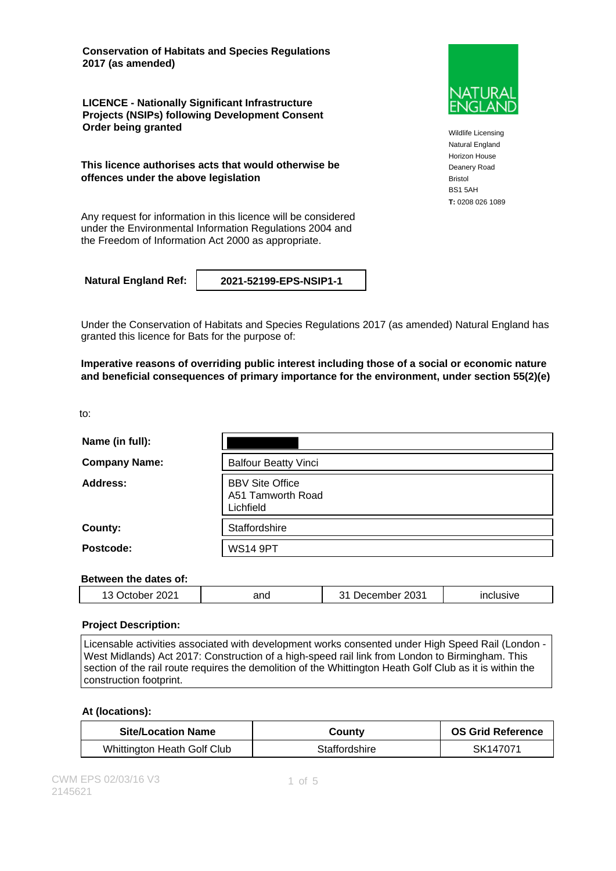**Conservation of Habitats and Species Regulations 2017 (as amended)**

**LICENCE - Nationally Significant Infrastructure Projects (NSIPs) following Development Consent Order being granted**

**This licence authorises acts that would otherwise be offences under the above legislation**

Any request for information in this licence will be considered under the Environmental Information Regulations 2004 and the Freedom of Information Act 2000 as appropriate.

**Natural England Ref: 2021-52199-EPS-NSIP1-1**

Under the Conservation of Habitats and Species Regulations 2017 (as amended) Natural England has granted this licence for Bats for the purpose of:

**Imperative reasons of overriding public interest including those of a social or economic nature and beneficial consequences of primary importance for the environment, under section 55(2)(e)**

to:

| Name (in full):      |                                                          |
|----------------------|----------------------------------------------------------|
| <b>Company Name:</b> | <b>Balfour Beatty Vinci</b>                              |
| Address:             | <b>BBV Site Office</b><br>A51 Tamworth Road<br>Lichfield |
| County:              | Staffordshire                                            |
| Postcode:            | <b>WS14 9PT</b>                                          |

#### **Between the dates of:**

| ററാ<br>anc<br>н<br>∼<br>⊦ ∠∪∠<br>. J | 2031<br>۰۱Α | . |
|--------------------------------------|-------------|---|
|--------------------------------------|-------------|---|

#### **Project Description:**

Licensable activities associated with development works consented under High Speed Rail (London - West Midlands) Act 2017: Construction of a high-speed rail link from London to Birmingham. This section of the rail route requires the demolition of the Whittington Heath Golf Club as it is within the construction footprint.

#### **At (locations):**

| <b>Site/Location Name</b>   | Countv        | <b>OS Grid Reference</b> |
|-----------------------------|---------------|--------------------------|
| Whittington Heath Golf Club | Staffordshire | SK147071                 |



Wildlife Licensing Natural England Horizon House Deanery Road Bristol BS1 5AH **T:** 0208 026 1089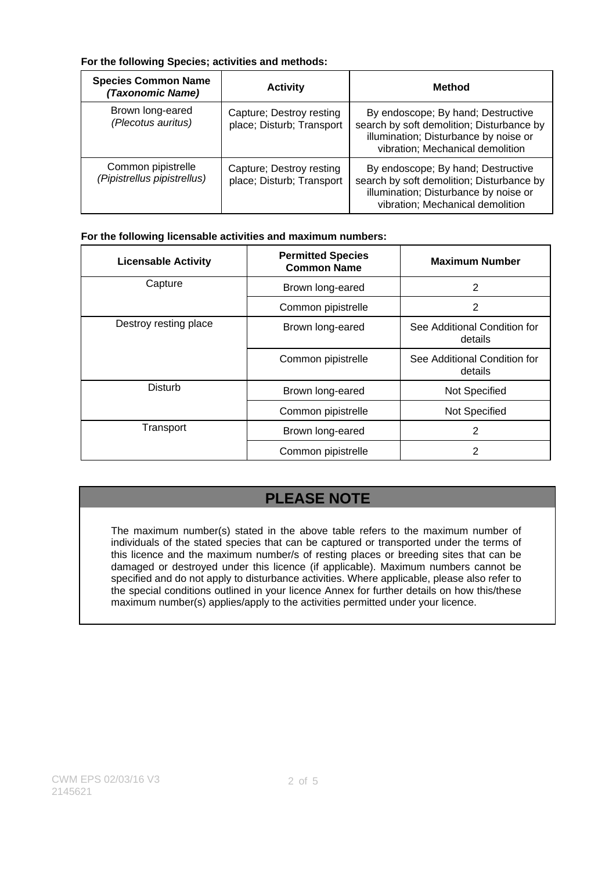### **For the following Species; activities and methods:**

| <b>Species Common Name</b><br>(Taxonomic Name)    | <b>Activity</b>                                       | Method                                                                                                                                                       |
|---------------------------------------------------|-------------------------------------------------------|--------------------------------------------------------------------------------------------------------------------------------------------------------------|
| Brown long-eared<br>(Plecotus auritus)            | Capture; Destroy resting<br>place; Disturb; Transport | By endoscope; By hand; Destructive<br>search by soft demolition; Disturbance by<br>illumination; Disturbance by noise or<br>vibration; Mechanical demolition |
| Common pipistrelle<br>(Pipistrellus pipistrellus) | Capture; Destroy resting<br>place; Disturb; Transport | By endoscope; By hand; Destructive<br>search by soft demolition; Disturbance by<br>illumination; Disturbance by noise or<br>vibration; Mechanical demolition |

### **For the following licensable activities and maximum numbers:**

| <b>Licensable Activity</b> | <b>Permitted Species</b><br><b>Common Name</b> | <b>Maximum Number</b>                   |
|----------------------------|------------------------------------------------|-----------------------------------------|
| Capture                    | Brown long-eared                               | $\overline{2}$                          |
|                            | Common pipistrelle                             | 2                                       |
| Destroy resting place      | Brown long-eared                               | See Additional Condition for<br>details |
|                            | Common pipistrelle                             | See Additional Condition for<br>details |
| Disturb                    | Brown long-eared                               | Not Specified                           |
|                            | Common pipistrelle                             | Not Specified                           |
| Transport                  | Brown long-eared                               | 2                                       |
|                            | Common pipistrelle                             | 2                                       |

# **PLEASE NOTE**

The maximum number(s) stated in the above table refers to the maximum number of individuals of the stated species that can be captured or transported under the terms of this licence and the maximum number/s of resting places or breeding sites that can be damaged or destroyed under this licence (if applicable). Maximum numbers cannot be specified and do not apply to disturbance activities. Where applicable, please also refer to the special conditions outlined in your licence Annex for further details on how this/these maximum number(s) applies/apply to the activities permitted under your licence.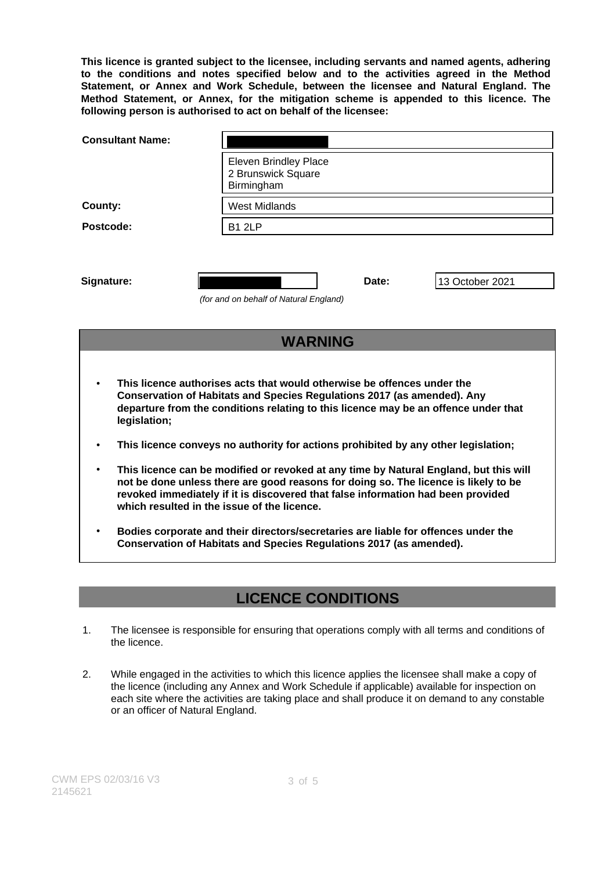**This licence is granted subject to the licensee, including servants and named agents, adhering to the conditions and notes specified below and to the activities agreed in the Method Statement, or Annex and Work Schedule, between the licensee and Natural England. The Method Statement, or Annex, for the mitigation scheme is appended to this licence. The following person is authorised to act on behalf of the licensee:**

| <b>Consultant Name:</b>                                                                                                                                                                                                                                                                                         |                                                                                                                                                           |  |
|-----------------------------------------------------------------------------------------------------------------------------------------------------------------------------------------------------------------------------------------------------------------------------------------------------------------|-----------------------------------------------------------------------------------------------------------------------------------------------------------|--|
|                                                                                                                                                                                                                                                                                                                 | <b>Eleven Brindley Place</b><br>2 Brunswick Square<br>Birmingham                                                                                          |  |
| County:                                                                                                                                                                                                                                                                                                         | <b>West Midlands</b>                                                                                                                                      |  |
| Postcode:                                                                                                                                                                                                                                                                                                       | <b>B1 2LP</b>                                                                                                                                             |  |
| Signature:                                                                                                                                                                                                                                                                                                      | 13 October 2021<br>Date:<br>(for and on behalf of Natural England)                                                                                        |  |
| <b>WARNING</b>                                                                                                                                                                                                                                                                                                  |                                                                                                                                                           |  |
| This licence authorises acts that would otherwise be offences under the<br>Conservation of Habitats and Species Regulations 2017 (as amended). Any<br>departure from the conditions relating to this licence may be an offence under that<br>legislation;                                                       |                                                                                                                                                           |  |
|                                                                                                                                                                                                                                                                                                                 | This licence conveys no authority for actions prohibited by any other legislation;                                                                        |  |
| This licence can be modified or revoked at any time by Natural England, but this will<br>not be done unless there are good reasons for doing so. The licence is likely to be<br>revoked immediately if it is discovered that false information had been provided<br>which resulted in the issue of the licence. |                                                                                                                                                           |  |
|                                                                                                                                                                                                                                                                                                                 | Bodies corporate and their directors/secretaries are liable for offences under the<br>Conservation of Habitats and Species Regulations 2017 (as amended). |  |

### **LICENCE CONDITIONS**

- 1. The licensee is responsible for ensuring that operations comply with all terms and conditions of the licence.
- 2. While engaged in the activities to which this licence applies the licensee shall make a copy of the licence (including any Annex and Work Schedule if applicable) available for inspection on each site where the activities are taking place and shall produce it on demand to any constable or an officer of Natural England.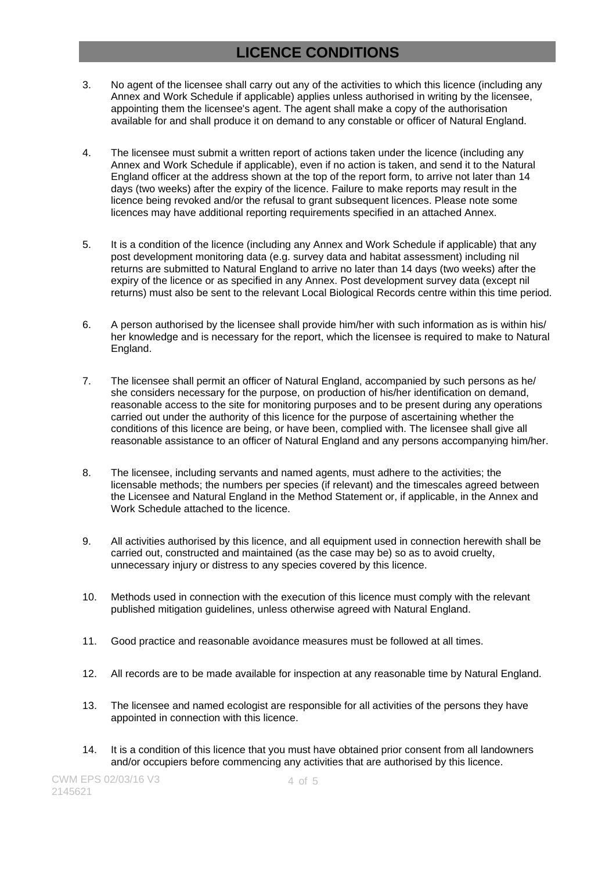## **LICENCE CONDITIONS**

- 3. No agent of the licensee shall carry out any of the activities to which this licence (including any Annex and Work Schedule if applicable) applies unless authorised in writing by the licensee, appointing them the licensee's agent. The agent shall make a copy of the authorisation available for and shall produce it on demand to any constable or officer of Natural England.
- 4. The licensee must submit a written report of actions taken under the licence (including any Annex and Work Schedule if applicable), even if no action is taken, and send it to the Natural England officer at the address shown at the top of the report form, to arrive not later than 14 days (two weeks) after the expiry of the licence. Failure to make reports may result in the licence being revoked and/or the refusal to grant subsequent licences. Please note some licences may have additional reporting requirements specified in an attached Annex.
- 5. It is a condition of the licence (including any Annex and Work Schedule if applicable) that any post development monitoring data (e.g. survey data and habitat assessment) including nil returns are submitted to Natural England to arrive no later than 14 days (two weeks) after the expiry of the licence or as specified in any Annex. Post development survey data (except nil returns) must also be sent to the relevant Local Biological Records centre within this time period.
- 6. A person authorised by the licensee shall provide him/her with such information as is within his/ her knowledge and is necessary for the report, which the licensee is required to make to Natural England.
- 7. The licensee shall permit an officer of Natural England, accompanied by such persons as he/ she considers necessary for the purpose, on production of his/her identification on demand, reasonable access to the site for monitoring purposes and to be present during any operations carried out under the authority of this licence for the purpose of ascertaining whether the conditions of this licence are being, or have been, complied with. The licensee shall give all reasonable assistance to an officer of Natural England and any persons accompanying him/her.
- 8. The licensee, including servants and named agents, must adhere to the activities; the licensable methods; the numbers per species (if relevant) and the timescales agreed between the Licensee and Natural England in the Method Statement or, if applicable, in the Annex and Work Schedule attached to the licence.
- 9. All activities authorised by this licence, and all equipment used in connection herewith shall be carried out, constructed and maintained (as the case may be) so as to avoid cruelty, unnecessary injury or distress to any species covered by this licence.
- 10. Methods used in connection with the execution of this licence must comply with the relevant published mitigation guidelines, unless otherwise agreed with Natural England.
- 11. Good practice and reasonable avoidance measures must be followed at all times.
- 12. All records are to be made available for inspection at any reasonable time by Natural England.
- 13. The licensee and named ecologist are responsible for all activities of the persons they have appointed in connection with this licence.
- 14. It is a condition of this licence that you must have obtained prior consent from all landowners and/or occupiers before commencing any activities that are authorised by this licence.